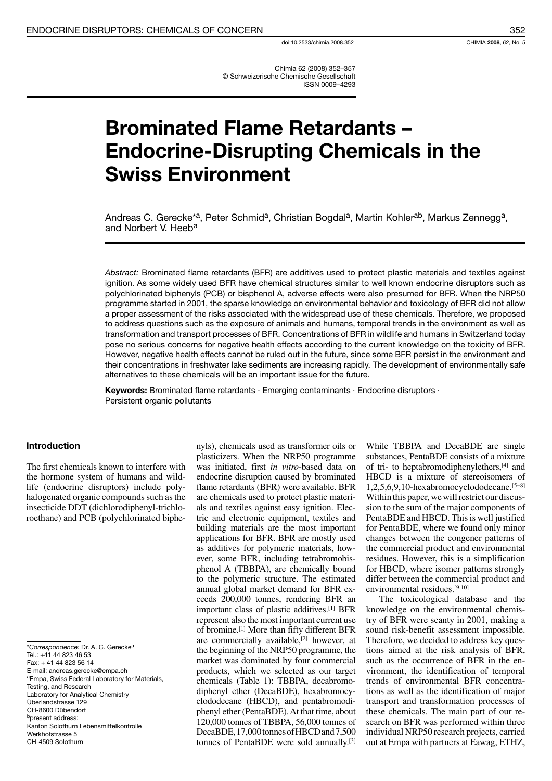# **Brominated Flame Retardants -Endocrine-Disrupting Chemicals in the Swiss Environment**

Andreas C. Gerecke<sup>\*a</sup>, Peter Schmid<sup>a</sup>, Christian Bogdal<sup>a</sup>, Martin Kohler<sup>ab</sup>, Markus Zennegg<sup>a</sup>, and Norbert V. Heeb<sup>a</sup>

Abstract: Brominated flame retardants (BFR) are additives used to protect plastic materials and textiles against ignition. As some widely used BFR have chemical structures similar to well known endocrine disruptors such as polychlorinated biphenyls (PCB) or bisphenol A, adverse effects were also presumed for BFR. When the NRP50 programme started in 2001, the sparse knowledge on environmental behavior and toxicology of BFR did not allow a proper assessment of the risks associated with the widespread use of these chemicals. Therefore, we proposed to address questions such as the exposure of animals and humans, temporal trends in the environment as well as transformation and transport processes of BFR. Concentrations of BFR in wildlife and humans in Switzerland today pose no serious concerns for negative health effects according to the current knowledge on the toxicity of BFR. However, negative health effects cannot be ruled out in the future, since some BFR persist in the environment and their concentrations in freshwater lake sediments are increasing rapidly. The development of environmentally safe alternatives to these chemicals will be an important issue for the future.

Keywords: Brominated flame retardants · Emerging contaminants · Endocrine disruptors · Persistent organic pollutants

## **Introduction**

The first chemicals known to interfere with the hormone system of humans and wildlife (endocrine disruptors) include polyhalogenated organic compounds such as the insecticide DDT (dichlorodiphenyl-trichloroethane) and PCB (polychlorinated biphe-

\*Correspondence: Dr. A. C. Gerecke<sup>a</sup> Tel.: +41 44 823 46 53 Fax: +41 44 823 56 14 E-mail: andreas.gerecke@empa.ch <sup>a</sup>Empa, Swiss Federal Laboratory for Materials, Testing, and Research Laboratory for Analytical Chemistry Überlandstrasse 129 CH-8600 Dübendorf b<sub>present</sub> address: Kanton Solothurn Lebensmittelkontrolle Werkhofstrasse 5 CH-4509 Solothurn

nyls), chemicals used as transformer oils or plasticizers. When the NRP50 programme was initiated, first in vitro-based data on endocrine disruption caused by brominated flame retardants (BFR) were available. BFR are chemicals used to protect plastic materials and textiles against easy ignition. Electric and electronic equipment, textiles and building materials are the most important applications for BFR. BFR are mostly used as additives for polymeric materials, however, some BFR, including tetrabromobisphenol A (TBBPA), are chemically bound to the polymeric structure. The estimated annual global market demand for BFR exceeds 200,000 tonnes, rendering BFR an important class of plastic additives.[1] BFR represent also the most important current use of bromine.<sup>[1]</sup> More than fifty different BFR are commercially available,<sup>[2]</sup> however, at the beginning of the NRP50 programme, the market was dominated by four commercial products, which we selected as our target chemicals (Table 1): TBBPA, decabromodiphenyl ether (DecaBDE), hexabromocyclododecane (HBCD), and pentabromodiphenyl ether (PentaBDE). At that time, about 120,000 tonnes of TBBPA, 56,000 tonnes of DecaBDE, 17,000 tonnes of HBCD and 7,500 tonnes of PentaBDE were sold annually.<sup>[3]</sup>

While TBBPA and DecaBDE are single substances, PentaBDE consists of a mixture of tri- to heptabromodiphenylethers,[4] and HBCD is a mixture of stereoisomers of 1,2,5,6,9,10-hexabromocyclododecane.<sup>[5-8]</sup> Within this paper, we will restrict our discussion to the sum of the major components of PentaBDE and HBCD. This is well justified for PentaBDE, where we found only minor changes between the congener patterns of the commercial product and environmental residues. However, this is a simplification for HBCD, where isomer patterns strongly differ between the commercial product and environmental residues.[9,10]

The toxicological database and the knowledge on the environmental chemistry of BFR were scanty in 2001, making a sound risk-benefit assessment impossible. Therefore, we decided to address key questions aimed at the risk analysis of BFR, such as the occurrence of BFR in the environment, the identification of temporal trends of environmental BFR concentrations as well as the identification of major transport and transformation processes of these chemicals. The main part of our research on BFR was performed within three individual NRP50 research projects, carried out at Empa with partners at Eawag, ETHZ,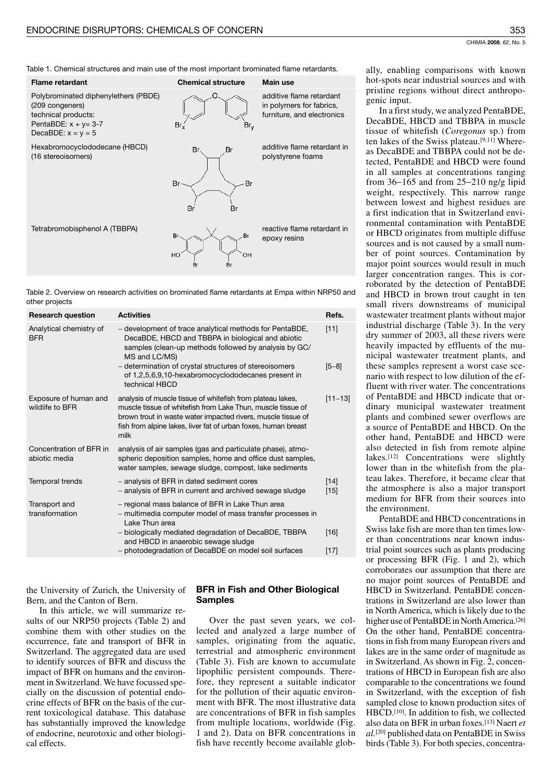Table 1. Chemical structures and main use of the most important brominated flame retardants.

| <b>Flame retardant</b>                                                                                                            | <b>Chemical structure</b>          | <b>Main use</b>                                                                    |  |  |
|-----------------------------------------------------------------------------------------------------------------------------------|------------------------------------|------------------------------------------------------------------------------------|--|--|
| Polybrominated diphenylethers (PBDE)<br>(209 congeners)<br>technical products:<br>PentaBDE: $x + y = 3-7$<br>DecaBDE: $x = y = 5$ | $Br_v$<br>Br.                      | additive flame retardant<br>in polymers for fabrics,<br>furniture, and electronics |  |  |
| Hexabromocyclododecane (HBCD)<br>(16 stereoisomers)                                                                               | Br.<br>Br<br>Br<br>Br<br>Br<br>Br  | additive flame retardant in<br>polystyrene foams                                   |  |  |
| Tetrabromobisphenol A (TBBPA)                                                                                                     | Br-<br>Br<br>HO<br>`OH<br>Br<br>Br | reactive flame retardant in<br>epoxy resins                                        |  |  |

Table 2. Overview on research activities on brominated flame retardants at Empa within NRP50 and other projects

| <b>Research question</b>                 | <b>Activities</b>                                                                                                                                                                                                                                                   | Refs.            |
|------------------------------------------|---------------------------------------------------------------------------------------------------------------------------------------------------------------------------------------------------------------------------------------------------------------------|------------------|
| Analytical chemistry of<br><b>BFR</b>    | - development of trace analytical methods for PentaBDE,<br>DecaBDE, HBCD and TBBPA in biological and abiotic<br>samples (clean-up methods followed by analysis by GC/<br>MS and LC/MS)                                                                              | [11]             |
|                                          | - determination of crystal structures of stereoisomers<br>of 1,2,5,6,9,10-hexabromocyclododecanes present in<br>technical HBCD                                                                                                                                      | $[5 - 8]$        |
| Exposure of human and<br>wildlife to BFR | analysis of muscle tissue of whitefish from plateau lakes,<br>muscle tissue of whitefish from Lake Thun, muscle tissue of<br>brown trout in waste water impacted rivers, muscle tissue of<br>fish from alpine lakes, liver fat of urban foxes, human breast<br>milk | $[11 - 13]$      |
| Concentration of BFR in<br>abiotic media | analysis of air samples (gas and particulate phase), atmo-<br>spheric deposition samples, home and office dust samples,<br>water samples, sewage sludge, compost, lake sediments                                                                                    |                  |
| Temporal trends                          | - analysis of BFR in dated sediment cores<br>- analysis of BFR in current and archived sewage sludge                                                                                                                                                                | $[14]$<br>$[15]$ |
| Transport and<br>transformation          | - regional mass balance of BFR in Lake Thun area<br>- multimedia computer model of mass transfer processes in<br>Lake Thun area                                                                                                                                     |                  |
|                                          | - biologically mediated degradation of DecaBDE, TBBPA<br>and HBCD in anaerobic sewage sludge                                                                                                                                                                        | $[16]$           |
|                                          | - photodegradation of DecaBDE on model soil surfaces                                                                                                                                                                                                                | [17]             |

the University of Zurich, the University of Bern, and the Canton of Bern.

In this article, we will summarize results of our NRP50 projects (Table 2) and combine them with other studies on the occurrence, fate and transport of BFR in Switzerland. The aggregated data are used to identify sources of BFR and discuss the impact of BFR on humans and the environment in Switzerland. We have focussed specially on the discussion of potential endocrine effects of BFR on the basis of the current toxicological database. This database has substantially improved the knowledge of endocrine, neurotoxic and other biological effects

## **BFR in Fish and Other Biological Samples**

Over the past seven years, we collected and analyzed a large number of samples, originating from the aquatic, terrestrial and atmospheric environment (Table 3). Fish are known to accumulate lipophilic persistent compounds. Therefore, they represent a suitable indicator for the pollution of their aquatic environment with BFR. The most illustrative data are concentrations of BFR in fish samples from multiple locations, worldwide (Fig. 1 and 2). Data on BFR concentrations in fish have recently become available globally, enabling comparisons with known hot-spots near industrial sources and with pristine regions without direct anthropogenic input.

In a first study, we analyzed PentaBDE, DecaBDE, HBCD and TBBPA in muscle tissue of whitefish (Coregonus sp.) from ten lakes of the Swiss plateau.<sup>[9,11]</sup> Whereas DecaBDE and TBBPA could not be detected, PentaBDE and HBCD were found in all samples at concentrations ranging from  $36-165$  and from  $25-210$  ng/g lipid weight, respectively. This narrow range between lowest and highest residues are a first indication that in Switzerland environmental contamination with PentaBDE or HBCD originates from multiple diffuse sources and is not caused by a small number of point sources. Contamination by major point sources would result in much larger concentration ranges. This is corroborated by the detection of PentaBDE and HBCD in brown trout caught in ten small rivers downstreams of municipal wastewater treatment plants without major industrial discharge (Table 3). In the very dry summer of 2003, all these rivers were heavily impacted by effluents of the municipal wastewater treatment plants, and these samples represent a worst case scenario with respect to low dilution of the effluent with river water. The concentrations of PentaBDE and HBCD indicate that ordinary municipal wastewater treatment plants and combined sewer overflows are a source of PentaBDE and HBCD. On the other hand, PentaBDE and HBCD were also detected in fish from remote alpine lakes.<sup>[12]</sup> Concentrations were slightly lower than in the white fish from the plateau lakes. Therefore, it became clear that the atmosphere is also a major transport medium for BFR from their sources into the environment.

PentaBDE and HBCD concentrations in Swiss lake fish are more than ten times lower than concentrations near known industrial point sources such as plants producing or processing BFR (Fig. 1 and 2), which corroborates our assumption that there are no major point sources of PentaBDE and HBCD in Switzerland. PentaBDE concentrations in Switzerland are also lower than in North America, which is likely due to the higher use of PentaBDE in North America.<sup>[26]</sup> On the other hand, PentaBDE concentrations in fish from many European rivers and lakes are in the same order of magnitude as in Switzerland. As shown in Fig. 2, concentrations of HBCD in European fish are also comparable to the concentrations we found in Switzerland, with the exception of fish sampled close to known production sites of HBCD.<sup>[10]</sup>. In addition to fish, we collected also data on BFR in urban foxes.[13] Naert et al.<sup>[20]</sup> published data on PentaBDE in Swiss birds (Table 3). For both species, concentra-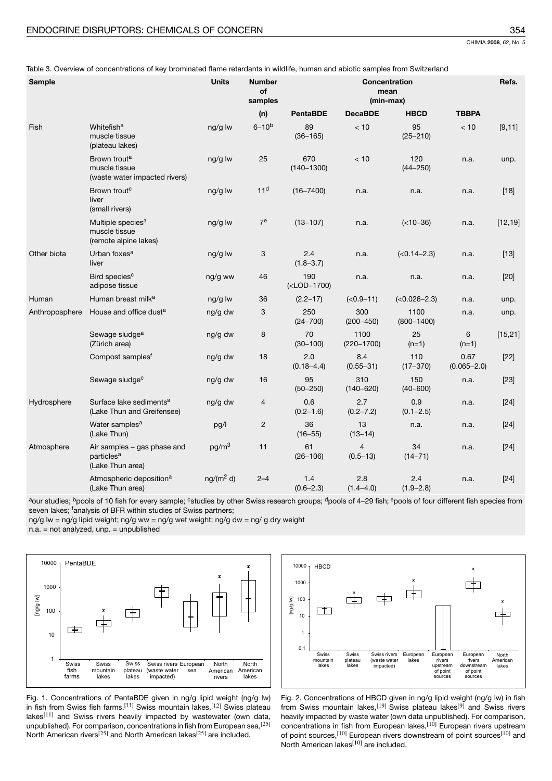354

Table 3. Overview of concentrations of key brominated flame retardants in wildlife, human and abiotic samples from Switzerland

| Sample         |                                                                            | <b>Units</b>      | <b>Number</b><br>of<br>samples<br>(n) | Concentration<br>mean<br>(min-max)                                                                                         |                                |                        | Refs.                   |          |
|----------------|----------------------------------------------------------------------------|-------------------|---------------------------------------|----------------------------------------------------------------------------------------------------------------------------|--------------------------------|------------------------|-------------------------|----------|
|                |                                                                            |                   |                                       | <b>PentaBDE</b>                                                                                                            | <b>DecaBDE</b>                 | <b>HBCD</b>            | <b>TBBPA</b>            |          |
| Fish           | Whitefish <sup>a</sup><br>muscle tissue<br>(plateau lakes)                 | ng/g lw           | $6 - 10^{b}$                          | 89<br>$(36 - 165)$                                                                                                         | $<10$                          | 95<br>$(25 - 210)$     | $<10$                   | [9, 11]  |
|                | Brown trout <sup>a</sup><br>muscle tissue<br>(waste water impacted rivers) | ng/g lw           | 25                                    | 670<br>$(140 - 1300)$                                                                                                      | < 10                           | 120<br>$(44 - 250)$    | n.a.                    | unp.     |
|                | Brown trout <sup>c</sup><br>liver<br>(small rivers)                        | ng/g lw           | 11 <sup>d</sup>                       | $(16 - 7400)$                                                                                                              | n.a.                           | n.a.                   | n.a.                    | $[18]$   |
|                | Multiple species <sup>a</sup><br>muscle tissue<br>(remote alpine lakes)    | ng/g lw           | 7 <sup>e</sup>                        | $(13 - 107)$                                                                                                               | n.a.                           | $(<10-36)$             | n.a.                    | [12, 19] |
| Other biota    | Urban foxes <sup>a</sup><br>liver                                          | ng/g lw           | 3                                     | 2.4<br>$(1.8 - 3.7)$                                                                                                       | n.a.                           | $(<0.14-2.3)$          | n.a.                    | $[13]$   |
|                | Bird species <sup>c</sup><br>adipose tissue                                | ng/g ww           | 46                                    | 190<br>( <lod-1700)< td=""><td>n.a.</td><td>n.a.</td><td>n.a.</td><td><math display="inline">[20]</math></td></lod-1700)<> | n.a.                           | n.a.                   | n.a.                    | $[20]$   |
| Human          | Human breast milk <sup>a</sup>                                             | ng/g lw           | 36                                    | $(2.2 - 17)$                                                                                                               | $(<0.9 - 11)$                  | $(<0.026-2.3)$         | n.a.                    | unp.     |
| Anthroposphere | House and office dust <sup>a</sup>                                         | ng/g dw           | 3                                     | 250<br>$(24 - 700)$                                                                                                        | 300<br>$(200 - 450)$           | 1100<br>$(800 - 1400)$ | n.a.                    | unp.     |
|                | Sewage sludge <sup>a</sup><br>(Zürich area)                                | ng/g dw           | 8                                     | 70<br>$(30 - 100)$                                                                                                         | 1100<br>$(220 - 1700)$         | 25<br>$(n=1)$          | 6<br>$(n=1)$            | [15, 21] |
|                | Compost samples <sup>f</sup>                                               | ng/g dw           | 18                                    | 2.0<br>$(0.18 - 4.4)$                                                                                                      | 8.4<br>$(0.55 - 31)$           | 110<br>$(17 - 370)$    | 0.67<br>$(0.065 - 2.0)$ | $[22]$   |
|                | Sewage sludge <sup>c</sup>                                                 | ng/g dw           | 16                                    | 95<br>$(50 - 250)$                                                                                                         | 310<br>$(140 - 620)$           | 150<br>$(40 - 600)$    | n.a.                    | [23]     |
| Hydrosphere    | Surface lake sediments <sup>a</sup><br>(Lake Thun and Greifensee)          | ng/g dw           | $\overline{4}$                        | 0.6<br>$(0.2 - 1.6)$                                                                                                       | 2.7<br>$(0.2 - 7.2)$           | 0.9<br>$(0.1 - 2.5)$   | n.a.                    | $[24]$   |
|                | Water samples <sup>a</sup><br>(Lake Thun)                                  | pg/l              | $\overline{c}$                        | 36<br>$(16 - 55)$                                                                                                          | 13<br>$(13 - 14)$              | n.a.                   | n.a.                    | $[24]$   |
| Atmosphere     | Air samples - gas phase and<br>particles <sup>a</sup><br>(Lake Thun area)  | pq/m <sup>3</sup> | 11                                    | 61<br>$(26 - 106)$                                                                                                         | $\overline{4}$<br>$(0.5 - 13)$ | 34<br>$(14 - 71)$      | n.a.                    | $[24]$   |
|                | Atmospheric deposition <sup>a</sup><br>(Lake Thun area)                    | $ng/(m^2 d)$      | $2 - 4$                               | 1.4<br>$(0.6 - 2.3)$                                                                                                       | 2.8<br>$(1.4 - 4.0)$           | 2.4<br>$(1.9 - 2.8)$   | n.a.                    | $[24]$   |

aour studies; <sup>b</sup>pools of 10 fish for every sample; <sup>c</sup>studies by other Swiss research groups; <sup>d</sup>pools of 4–29 fish; <sup>e</sup>pools of four different fish species from seven lakes; fanalysis of BFR within studies of Swiss partners;

ng/g lw = ng/g lipid weight; ng/g ww = ng/g wet weight; ng/g dw = ng/ g dry weight

n.a. = not analyzed, unp. = unpublished



Fig. 1. Concentrations of PentaBDE given in ng/g lipid weight (ng/g lw) in fish from Swiss fish farms, [11] Swiss mountain lakes, [12] Swiss plateau lakes<sup>[11]</sup> and Swiss rivers heavily impacted by wastewater (own data, unpublished). For comparison, concentrations in fish from European sea, [25] North American rivers<sup>[25]</sup> and North American lakes<sup>[25]</sup> are included.



Fig. 2. Concentrations of HBCD given in ng/g lipid weight (ng/g lw) in fish from Swiss mountain lakes, [19] Swiss plateau lakes<sup>[9]</sup> and Swiss rivers heavily impacted by waste water (own data unpublished). For comparison, concentrations in fish from European lakes, [10] European rivers upstream of point sources, [10] European rivers downstream of point sources [10] and North American lakes[10] are included.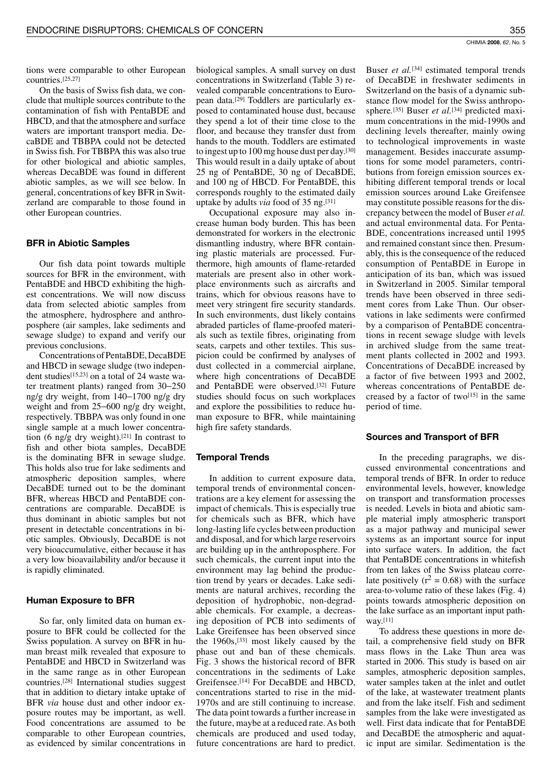tions were comparable to other European countries.[25,27]

On the basis of Swiss fish data, we conclude that multiple sources contribute to the contamination of fish with PentaBDE and HBCD, and that the atmosphere and surface waters are important transport media. DecaBDE and TBBPA could not be detected in Swiss fish. For TBBPA this was also true for other biological and abiotic samples, whereas DecaBDE was found in different abiotic samples, as we will see below. In general, concentrations of key BFR in Switzerland are comparable to those found in other European countries.

## **BFR in Abiotic Samples**

Our fish data point towards multiple sources for BFR in the environment, with PentaBDE and HBCD exhibiting the highest concentrations. We will now discuss data from selected abiotic samples from the atmosphere, hydrosphere and anthroposphere (air samples, lake sediments and sewage sludge) to expand and verify our previous conclusions.

Concentrations of PentaBDE, DecaBDE and HBCD in sewage sludge (two independent studies<sup>[15,23]</sup> on a total of 24 waste water treatment plants) ranged from 30–250 ng/g dry weight, from 140–1700 ng/g dry weight and from  $25-600$  ng/g dry weight, respectively. TBBPA was only found in one single sample at a much lower concentration (6 ng/g dry weight). $[21]$  In contrast to fish and other biota samples, DecaBDE is the dominating BFR in sewage sludge. This holds also true for lake sediments and atmospheric deposition samples, where DecaBDE turned out to be the dominant BFR, whereas HBCD and PentaBDE concentrations are comparable. DecaBDE is thus dominant in abiotic samples but not present in detectable concentrations in biotic samples. Obviously, DecaBDE is not very bioaccumulative, either because it has a very low bioavailability and/or because it is rapidly eliminated.

### **Human Exposure to BFR**

So far, only limited data on human exposure to BFR could be collected for the Swiss population. A survey on BFR in human breast milk revealed that exposure to PentaBDE and HBCD in Switzerland was in the same range as in other European countries.<sup>[28]</sup> International studies suggest that in addition to dietary intake uptake of BFR *via* house dust and other indoor exposure routes may be important, as well. Food concentrations are assumed to be comparable to other European countries, as evidenced by similar concentrations in biological samples. A small survey on dust concentrations in Switzerland (Table 3) revealed comparable concentrations to European data.<sup>[29]</sup> Toddlers are particularly exposed to contaminated house dust, because they spend a lot of their time close to the floor, and because they transfer dust from hands to the mouth. Toddlers are estimated to ingest up to 100 mg house dust per day.<sup>[30]</sup> This would result in a daily uptake of about 25 ng of PentaBDE, 30 ng of DecaBDE, and 100 ng of HBCD. For PentaBDE, this corresponds roughly to the estimated daily uptake by adults *via* food of 35 ng.<sup>[31]</sup>

Occupational exposure may also increase human body burden. This has been demonstrated for workers in the electronic dismantling industry, where BFR containing plastic materials are processed. Furthermore, high amounts of flame-retarded materials are present also in other workplace environments such as aircrafts and trains, which for obvious reasons have to meet very stringent fire security standards. In such environments, dust likely contains abraded particles of flame-proofed materials such as textile fibres, originating from seats, carpets and other textiles. This suspicion could be confirmed by analyses of dust collected in a commercial airplane, where high concentrations of DecaBDE and PentaBDE were observed.<sup>[32]</sup> Future studies should focus on such workplaces and explore the possibilities to reduce human exposure to BFR, while maintaining high fire safety standards.

## **Temporal Trends**

In addition to current exposure data, temporal trends of environmental concentrations are a key element for assessing the impact of chemicals. This is especially true for chemicals such as BFR, which have long-lasting life cycles between production and disposal, and for which large reservoirs are building up in the anthroposphere. For such chemicals, the current input into the environment may lag behind the production trend by years or decades. Lake sediments are natural archives, recording the deposition of hydrophobic, non-degradable chemicals. For example, a decreasing deposition of PCB into sediments of Lake Greifensee has been observed since the 1960s,<sup>[33]</sup> most likely caused by the phase out and ban of these chemicals. Fig. 3 shows the historical record of BFR concentrations in the sediments of Lake Greifensee.<sup>[14]</sup> For DecaBDE and HBCD, concentrations started to rise in the mid-1970s and are still continuing to increase. The data point towards a further increase in the future, maybe at a reduced rate. As both chemicals are produced and used today, future concentrations are hard to predict.

Buser et al.<sup>[34]</sup> estimated temporal trends of DecaBDE in freshwater sediments in Switzerland on the basis of a dynamic substance flow model for the Swiss anthroposphere.<sup>[35]</sup> Buser et al.<sup>[34]</sup> predicted maximum concentrations in the mid-1990s and declining levels thereafter, mainly owing to technological improvements in waste management. Besides inaccurate assumptions for some model parameters, contributions from foreign emission sources exhibiting different temporal trends or local emission sources around Lake Greifensee may constitute possible reasons for the discrepancy between the model of Buser et al. and actual environmental data. For Penta-BDE, concentrations increased until 1995 and remained constant since then. Presumably, this is the consequence of the reduced consumption of PentaBDE in Europe in anticipation of its ban, which was issued in Switzerland in 2005. Similar temporal trends have been observed in three sediment cores from Lake Thun. Our observations in lake sediments were confirmed by a comparison of PentaBDE concentrations in recent sewage sludge with levels in archived sludge from the same treatment plants collected in 2002 and 1993. Concentrations of DecaBDE increased by a factor of five between 1993 and 2002, whereas concentrations of PentaBDE decreased by a factor of two<sup>[15]</sup> in the same period of time.

#### **Sources and Transport of BFR**

In the preceding paragraphs, we discussed environmental concentrations and temporal trends of BFR. In order to reduce environmental levels, however, knowledge on transport and transformation processes is needed. Levels in biota and abiotic sample material imply atmospheric transport as a major pathway and municipal sewer systems as an important source for input into surface waters. In addition, the fact that PentaBDE concentrations in whitefish from ten lakes of the Swiss plateau correlate positively ( $r^2 = 0.68$ ) with the surface area-to-volume ratio of these lakes (Fig. 4) points towards atmospheric deposition on the lake surface as an important input pathway.[11]

To address these questions in more detail, a comprehensive field study on BFR mass flows in the Lake Thun area was started in 2006. This study is based on air samples, atmospheric deposition samples, water samples taken at the inlet and outlet of the lake, at wastewater treatment plants and from the lake itself. Fish and sediment samples from the lake were investigated as well. First data indicate that for PentaBDE and DecaBDE the atmospheric and aquatic input are similar. Sedimentation is the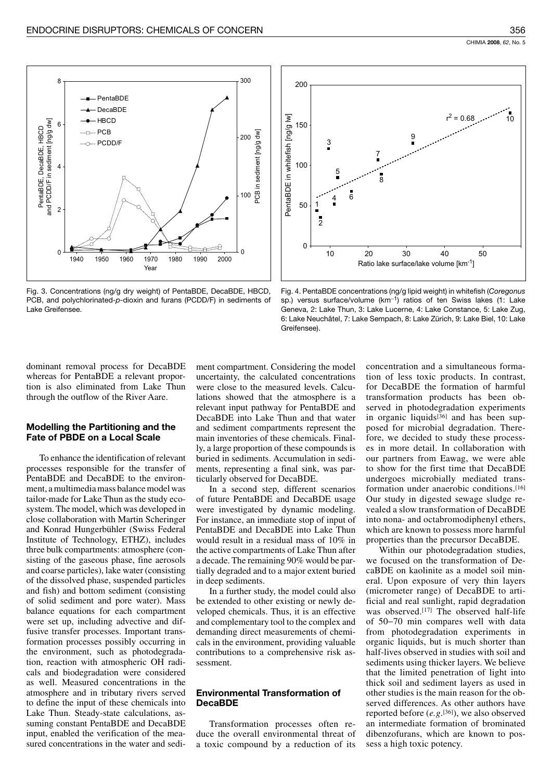



Fig. 3. Concentrations (ng/g dry weight) of PentaBDE, DecaBDE, HBCD, PCB, and polychlorinated-p-dioxin and furans (PCDD/F) in sediments of Lake Greifensee.

Fig. 4. PentaBDE concentrations (ng/g lipid weight) in whitefish (Coregonus sp.) versus surface/volume (km<sup>-1</sup>) ratios of ten Swiss lakes (1: Lake Geneva, 2: Lake Thun, 3: Lake Lucerne, 4: Lake Constance, 5: Lake Zug, 6: Lake Neuchâtel, 7: Lake Sempach, 8: Lake Zürich, 9: Lake Biel, 10: Lake Greifensee).

dominant removal process for DecaBDE whereas for PentaBDE a relevant proportion is also eliminated from Lake Thun through the outflow of the River Aare.

## **Modelling the Partitioning and the Fate of PBDE on a Local Scale**

To enhance the identification of relevant processes responsible for the transfer of PentaBDE and DecaBDE to the environment, a multimedia mass balance model was tailor-made for Lake Thun as the study ecosystem. The model, which was developed in close collaboration with Martin Scheringer and Konrad Hungerbühler (Swiss Federal Institute of Technology, ETHZ), includes three bulk compartments: atmosphere (consisting of the gaseous phase, fine aerosols and coarse particles), lake water (consisting of the dissolved phase, suspended particles and fish) and bottom sediment (consisting of solid sediment and pore water). Mass balance equations for each compartment were set up, including advective and diffusive transfer processes. Important transformation processes possibly occurring in the environment, such as photodegradation, reaction with atmospheric OH radicals and biodegradation were considered as well. Measured concentrations in the atmosphere and in tributary rivers served to define the input of these chemicals into Lake Thun. Steady-state calculations, assuming constant PentaBDE and DecaBDE input, enabled the verification of the measured concentrations in the water and sediment compartment. Considering the model uncertainty, the calculated concentrations were close to the measured levels. Calculations showed that the atmosphere is a relevant input pathway for PentaBDE and DecaBDE into Lake Thun and that water and sediment compartments represent the main inventories of these chemicals. Finally, a large proportion of these compounds is buried in sediments. Accumulation in sediments, representing a final sink, was particularly observed for DecaBDE.

In a second step, different scenarios of future PentaBDE and DecaBDE usage were investigated by dynamic modeling. For instance, an immediate stop of input of PentaBDE and DecaBDE into Lake Thun would result in a residual mass of 10% in the active compartments of Lake Thun after a decade. The remaining 90% would be partially degraded and to a major extent buried in deep sediments.

In a further study, the model could also be extended to other existing or newly developed chemicals. Thus, it is an effective and complementary tool to the complex and demanding direct measurements of chemicals in the environment, providing valuable contributions to a comprehensive risk assessment.

## **Environmental Transformation of DecaBDE**

Transformation processes often reduce the overall environmental threat of a toxic compound by a reduction of its

concentration and a simultaneous formation of less toxic products. In contrast, for DecaBDE the formation of harmful transformation products has been observed in photodegradation experiments in organic liquids<sup>[36]</sup> and has been supposed for microbial degradation. Therefore, we decided to study these processes in more detail. In collaboration with our partners from Eawag, we were able to show for the first time that DecaBDE undergoes microbially mediated transformation under anaerobic conditions.<sup>[16]</sup> Our study in digested sewage sludge revealed a slow transformation of DecaBDE into nona- and octabromodiphenyl ethers, which are known to possess more harmful properties than the precursor DecaBDE.

Within our photodegradation studies, we focused on the transformation of DecaBDE on kaolinite as a model soil mineral. Upon exposure of very thin layers (micrometer range) of DecaBDE to artificial and real sunlight, rapid degradation was observed.[17] The observed half-life of 50–70 min compares well with data from photodegradation experiments in organic liquids, but is much shorter than half-lives observed in studies with soil and sediments using thicker layers. We believe that the limited penetration of light into thick soil and sediment layers as used in other studies is the main reason for the observed differences. As other authors have reported before  $(e.g.<sup>[36]</sup>)$ , we also observed an intermediate formation of brominated dibenzofurans, which are known to possess a high toxic potency.